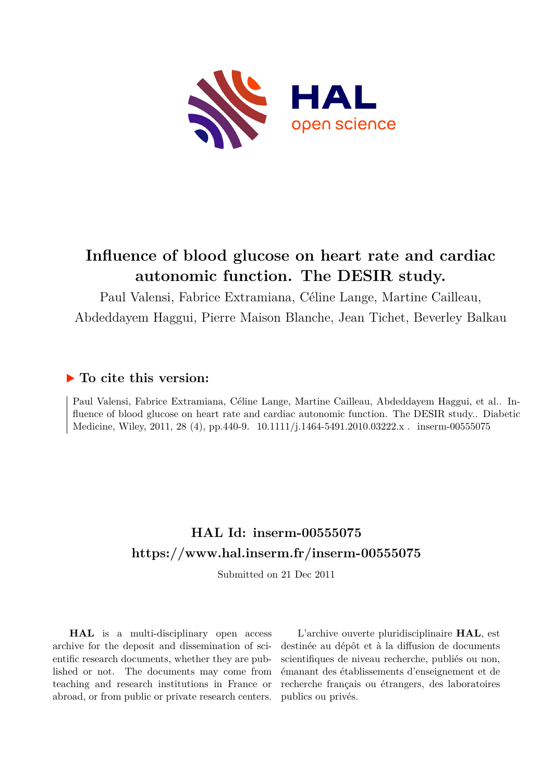

# **Influence of blood glucose on heart rate and cardiac autonomic function. The DESIR study.**

Paul Valensi, Fabrice Extramiana, Céline Lange, Martine Cailleau, Abdeddayem Haggui, Pierre Maison Blanche, Jean Tichet, Beverley Balkau

## **To cite this version:**

Paul Valensi, Fabrice Extramiana, Céline Lange, Martine Cailleau, Abdeddayem Haggui, et al.. Influence of blood glucose on heart rate and cardiac autonomic function. The DESIR study.. Diabetic Medicine, Wiley, 2011, 28 (4), pp.440-9.  $10.1111/j.1464-5491.2010.03222.x$ . inserm-00555075

## **HAL Id: inserm-00555075 <https://www.hal.inserm.fr/inserm-00555075>**

Submitted on 21 Dec 2011

**HAL** is a multi-disciplinary open access archive for the deposit and dissemination of scientific research documents, whether they are published or not. The documents may come from teaching and research institutions in France or abroad, or from public or private research centers.

L'archive ouverte pluridisciplinaire **HAL**, est destinée au dépôt et à la diffusion de documents scientifiques de niveau recherche, publiés ou non, émanant des établissements d'enseignement et de recherche français ou étrangers, des laboratoires publics ou privés.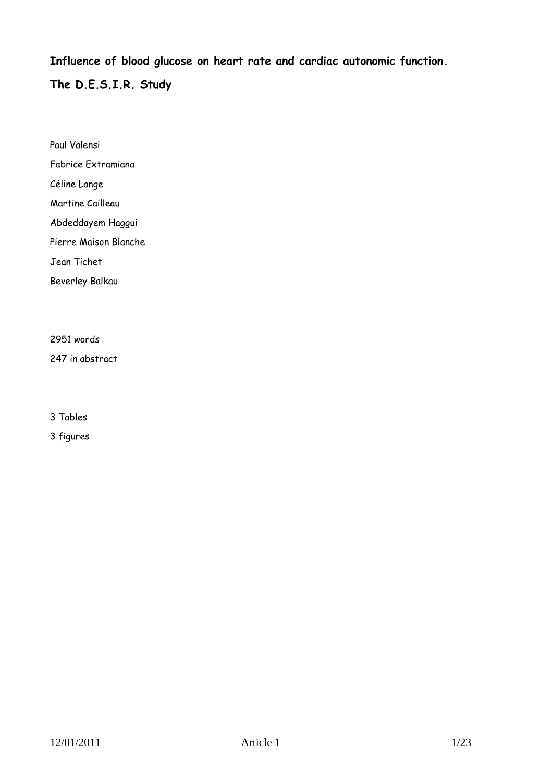**Influence of blood glucose on heart rate and cardiac autonomic function.**

**The D.E.S.I.R. Study** 

Paul Valensi Fabrice Extramiana Céline Lange Martine Cailleau Abdeddayem Haggui Pierre Maison Blanche Jean Tichet Beverley Balkau

2951 words

247 in abstract

3 Tables

3 figures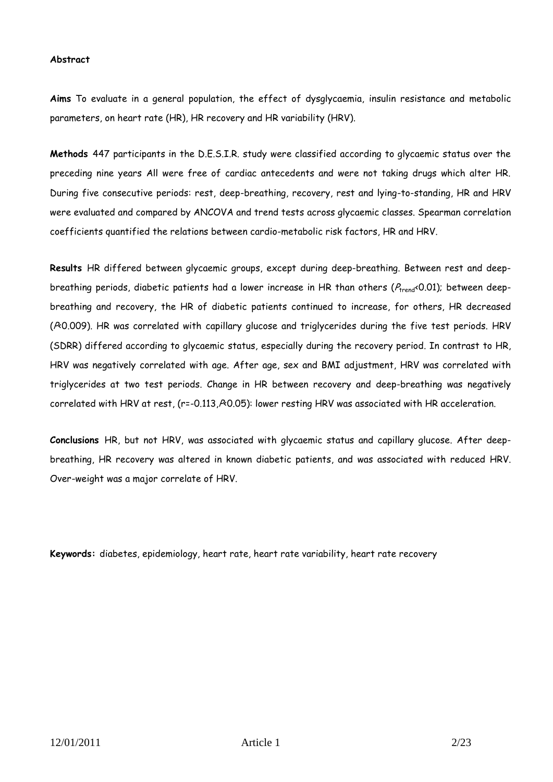#### **Abstract**

**Aims** To evaluate in a general population, the effect of dysglycaemia, insulin resistance and metabolic parameters, on heart rate (HR), HR recovery and HR variability (HRV).

**Methods** 447 participants in the D.E.S.I.R. study were classified according to glycaemic status over the preceding nine years All were free of cardiac antecedents and were not taking drugs which alter HR. During five consecutive periods: rest, deep-breathing, recovery, rest and lying-to-standing, HR and HRV were evaluated and compared by ANCOVA and trend tests across glycaemic classes. Spearman correlation coefficients quantified the relations between cardio-metabolic risk factors, HR and HRV.

**Results** HR differed between glycaemic groups, except during deep-breathing. Between rest and deepbreathing periods, diabetic patients had a lower increase in HR than others ( $P_{trend}$ <0.01); between deepbreathing and recovery, the HR of diabetic patients continued to increase, for others, HR decreased (PO.009). HR was correlated with capillary glucose and triglycerides during the five test periods. HRV (SDRR) differed according to glycaemic status, especially during the recovery period. In contrast to HR, HRV was negatively correlated with age. After age, sex and BMI adjustment, HRV was correlated with triglycerides at two test periods. Change in HR between recovery and deep-breathing was negatively correlated with HRV at rest, (r=-0.113, $R$ 0.05): lower resting HRV was associated with HR acceleration.

**Conclusions** HR, but not HRV, was associated with glycaemic status and capillary glucose. After deepbreathing, HR recovery was altered in known diabetic patients, and was associated with reduced HRV. Over-weight was a major correlate of HRV.

**Keywords:** diabetes, epidemiology, heart rate, heart rate variability, heart rate recovery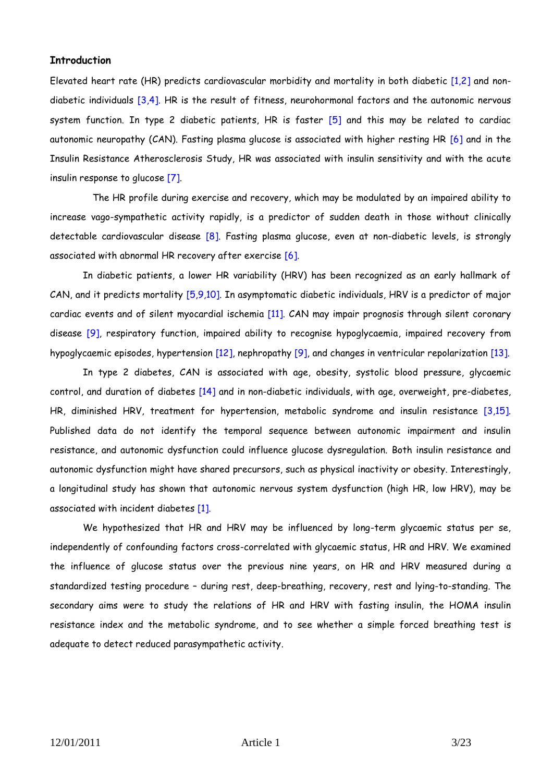## **Introduction**

Elevated heart rate (HR) predicts cardiovascular morbidity and mortality in both diabetic [1,2] and nondiabetic individuals [3,4]. HR is the result of fitness, neurohormonal factors and the autonomic nervous system function. In type 2 diabetic patients, HR is faster [5] and this may be related to cardiac autonomic neuropathy (CAN). Fasting plasma glucose is associated with higher resting HR [6] and in the Insulin Resistance Atherosclerosis Study, HR was associated with insulin sensitivity and with the acute insulin response to glucose [7].

The HR profile during exercise and recovery, which may be modulated by an impaired ability to increase vago-sympathetic activity rapidly, is a predictor of sudden death in those without clinically detectable cardiovascular disease [8]. Fasting plasma glucose, even at non-diabetic levels, is strongly associated with abnormal HR recovery after exercise [6].

In diabetic patients, a lower HR variability (HRV) has been recognized as an early hallmark of CAN, and it predicts mortality [5,9,10]. In asymptomatic diabetic individuals, HRV is a predictor of major cardiac events and of silent myocardial ischemia [11]. CAN may impair prognosis through silent coronary disease [9], respiratory function, impaired ability to recognise hypoglycaemia, impaired recovery from hypoglycaemic episodes, hypertension [12], nephropathy [9], and changes in ventricular repolarization [13].

In type 2 diabetes, CAN is associated with age, obesity, systolic blood pressure, glycaemic control, and duration of diabetes [14] and in non-diabetic individuals, with age, overweight, pre-diabetes, HR, diminished HRV, treatment for hypertension, metabolic syndrome and insulin resistance [3,15]. Published data do not identify the temporal sequence between autonomic impairment and insulin resistance, and autonomic dysfunction could influence glucose dysregulation. Both insulin resistance and autonomic dysfunction might have shared precursors, such as physical inactivity or obesity. Interestingly, a longitudinal study has shown that autonomic nervous system dysfunction (high HR, low HRV), may be associated with incident diabetes [1].

We hypothesized that HR and HRV may be influenced by long-term glycaemic status per se, independently of confounding factors cross-correlated with glycaemic status, HR and HRV. We examined the influence of glucose status over the previous nine years, on HR and HRV measured during a standardized testing procedure – during rest, deep-breathing, recovery, rest and lying-to-standing. The secondary aims were to study the relations of HR and HRV with fasting insulin, the HOMA insulin resistance index and the metabolic syndrome, and to see whether a simple forced breathing test is adequate to detect reduced parasympathetic activity.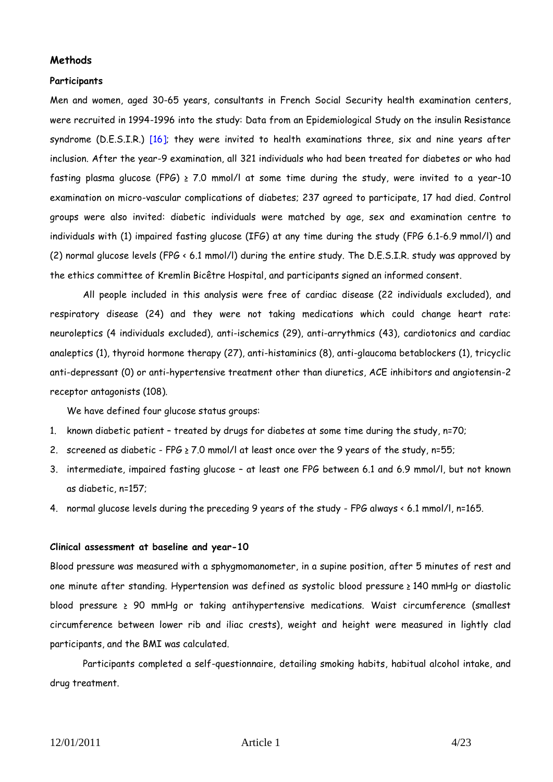## **Methods**

#### **Participants**

Men and women, aged 30-65 years, consultants in French Social Security health examination centers, were recruited in 1994-1996 into the study: Data from an Epidemiological Study on the insulin Resistance syndrome (D.E.S.I.R.)  $[16]$ ; they were invited to health examinations three, six and nine years after inclusion. After the year-9 examination, all 321 individuals who had been treated for diabetes or who had fasting plasma glucose (FPG)  $\geq$  7.0 mmol/l at some time during the study, were invited to a year-10 examination on micro-vascular complications of diabetes; 237 agreed to participate, 17 had died. Control groups were also invited: diabetic individuals were matched by age, sex and examination centre to individuals with (1) impaired fasting glucose (IFG) at any time during the study (FPG 6.1-6.9 mmol/l) and (2) normal glucose levels (FPG < 6.1 mmol/l) during the entire study. The D.E.S.I.R. study was approved by the ethics committee of Kremlin Bicêtre Hospital, and participants signed an informed consent.

All people included in this analysis were free of cardiac disease (22 individuals excluded), and respiratory disease (24) and they were not taking medications which could change heart rate: neuroleptics (4 individuals excluded), anti-ischemics (29), anti-arrythmics (43), cardiotonics and cardiac analeptics (1), thyroid hormone therapy (27), anti-histaminics (8), anti-glaucoma betablockers (1), tricyclic anti-depressant (0) or anti-hypertensive treatment other than diuretics, ACE inhibitors and angiotensin-2 receptor antagonists (108).

We have defined four glucose status groups:

- 1. known diabetic patient treated by drugs for diabetes at some time during the study, n=70;
- 2. screened as diabetic FPG  $\geq$  7.0 mmol/l at least once over the 9 years of the study, n=55;
- 3. intermediate, impaired fasting glucose at least one FPG between 6.1 and 6.9 mmol/l, but not known as diabetic, n=157;
- 4. normal glucose levels during the preceding 9 years of the study FPG always < 6.1 mmol/l, n=165.

#### **Clinical assessment at baseline and year-10**

Blood pressure was measured with a sphygmomanometer, in a supine position, after 5 minutes of rest and one minute after standing. Hypertension was defined as systolic blood pressure ≥ 140 mmHg or diastolic blood pressure ≥ 90 mmHg or taking antihypertensive medications. Waist circumference (smallest circumference between lower rib and iliac crests), weight and height were measured in lightly clad participants, and the BMI was calculated.

Participants completed a self-questionnaire, detailing smoking habits, habitual alcohol intake, and drug treatment.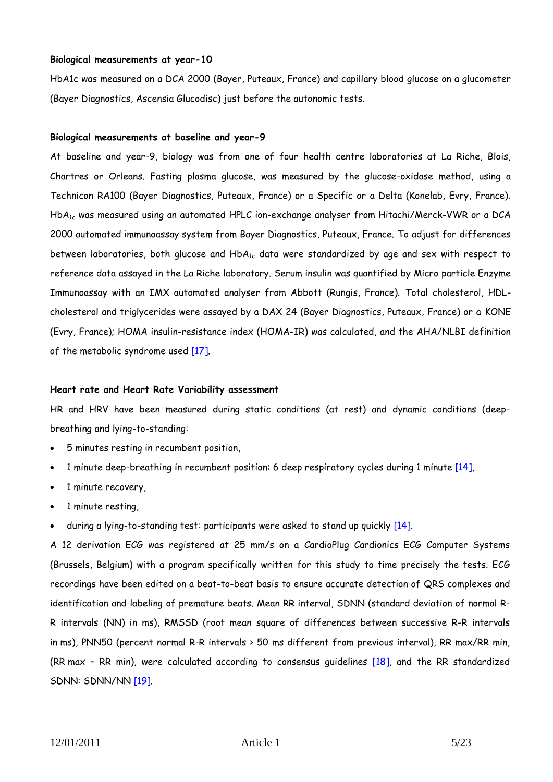#### **Biological measurements at year-10**

HbA1c was measured on a DCA 2000 (Bayer, Puteaux, France) and capillary blood glucose on a glucometer (Bayer Diagnostics, Ascensia Glucodisc) just before the autonomic tests.

#### **Biological measurements at baseline and year-9**

At baseline and year-9, biology was from one of four health centre laboratories at La Riche, Blois, Chartres or Orleans. Fasting plasma glucose, was measured by the glucose-oxidase method, using a Technicon RA100 (Bayer Diagnostics, Puteaux, France) or a Specific or a Delta (Konelab, Evry, France). HbA1c was measured using an automated HPLC ion-exchange analyser from Hitachi/Merck-VWR or a DCA 2000 automated immunoassay system from Bayer Diagnostics, Puteaux, France. To adjust for differences between laboratories, both glucose and  $HbA_{1c}$  data were standardized by age and sex with respect to reference data assayed in the La Riche laboratory. Serum insulin was quantified by Micro particle Enzyme Immunoassay with an IMX automated analyser from Abbott (Rungis, France). Total cholesterol, HDLcholesterol and triglycerides were assayed by a DAX 24 (Bayer Diagnostics, Puteaux, France) or a KONE (Evry, France); HOMA insulin-resistance index (HOMA-IR) was calculated, and the AHA/NLBI definition of the metabolic syndrome used [17].

#### **Heart rate and Heart Rate Variability assessment**

HR and HRV have been measured during static conditions (at rest) and dynamic conditions (deepbreathing and lying-to-standing:

- 5 minutes resting in recumbent position,
- 1 minute deep-breathing in recumbent position: 6 deep respiratory cycles during 1 minute [14],
- 1 minute recovery,
- 1 minute resting,
- during a lying-to-standing test: participants were asked to stand up quickly [14].

A 12 derivation ECG was registered at 25 mm/s on a CardioPlug Cardionics ECG Computer Systems (Brussels, Belgium) with a program specifically written for this study to time precisely the tests. ECG recordings have been edited on a beat-to-beat basis to ensure accurate detection of QRS complexes and identification and labeling of premature beats. Mean RR interval, SDNN (standard deviation of normal R-R intervals (NN) in ms), RMSSD (root mean square of differences between successive R-R intervals in ms), PNN50 (percent normal R-R intervals > 50 ms different from previous interval), RR max/RR min, (RR max – RR min), were calculated according to consensus guidelines [18], and the RR standardized SDNN: SDNN/NN [19].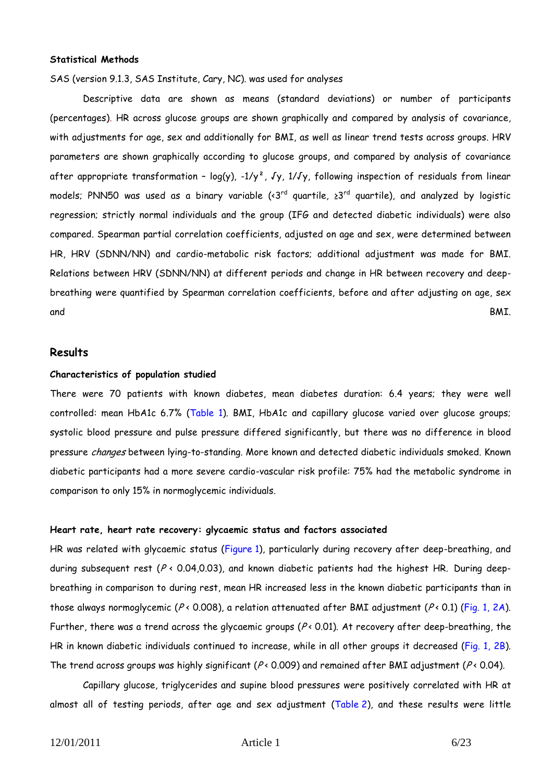#### **Statistical Methods**

SAS (version 9.1.3, SAS Institute, Cary, NC). was used for analyses

Descriptive data are shown as means (standard deviations) or number of participants (percentages). HR across glucose groups are shown graphically and compared by analysis of covariance, with adjustments for age, sex and additionally for BMI, as well as linear trend tests across groups. HRV parameters are shown graphically according to glucose groups, and compared by analysis of covariance after appropriate transformation - log(y),  $-1/y^2$ , Jy,  $1/Jy$ , following inspection of residuals from linear models; PNN50 was used as a binary variable (<3<sup>rd</sup> quartile, ≥3<sup>rd</sup> quartile), and analyzed by logistic regression; strictly normal individuals and the group (IFG and detected diabetic individuals) were also compared. Spearman partial correlation coefficients, adjusted on age and sex, were determined between HR, HRV (SDNN/NN) and cardio-metabolic risk factors; additional adjustment was made for BMI. Relations between HRV (SDNN/NN) at different periods and change in HR between recovery and deepbreathing were quantified by Spearman correlation coefficients, before and after adjusting on age, sex and BMI.

## **Results**

#### **Characteristics of population studied**

There were 70 patients with known diabetes, mean diabetes duration: 6.4 years; they were well controlled: mean HbA1c 6.7% (Table 1). BMI, HbA1c and capillary glucose varied over glucose groups; systolic blood pressure and pulse pressure differed significantly, but there was no difference in blood pressure changes between lying-to-standing. More known and detected diabetic individuals smoked. Known diabetic participants had a more severe cardio-vascular risk profile: 75% had the metabolic syndrome in comparison to only 15% in normoglycemic individuals.

#### **Heart rate, heart rate recovery: glycaemic status and factors associated**

HR was related with glycaemic status (Figure 1), particularly during recovery after deep-breathing, and during subsequent rest ( $P \leftarrow 0.04, 0.03$ ), and known diabetic patients had the highest HR. During deepbreathing in comparison to during rest, mean HR increased less in the known diabetic participants than in those always normoglycemic ( $P \times 0.008$ ), a relation attenuated after BMI adjustment ( $P \times 0.1$ ) (Fig. 1, 2A). Further, there was a trend across the glycaemic groups ( $P \triangleleft 0.01$ ). At recovery after deep-breathing, the HR in known diabetic individuals continued to increase, while in all other groups it decreased (Fig. 1, 2B). The trend across groups was highly significant ( $P \triangleleft 0.009$ ) and remained after BMI adjustment ( $P \triangleleft 0.04$ ).

Capillary glucose, triglycerides and supine blood pressures were positively correlated with HR at almost all of testing periods, after age and sex adjustment (Table 2), and these results were little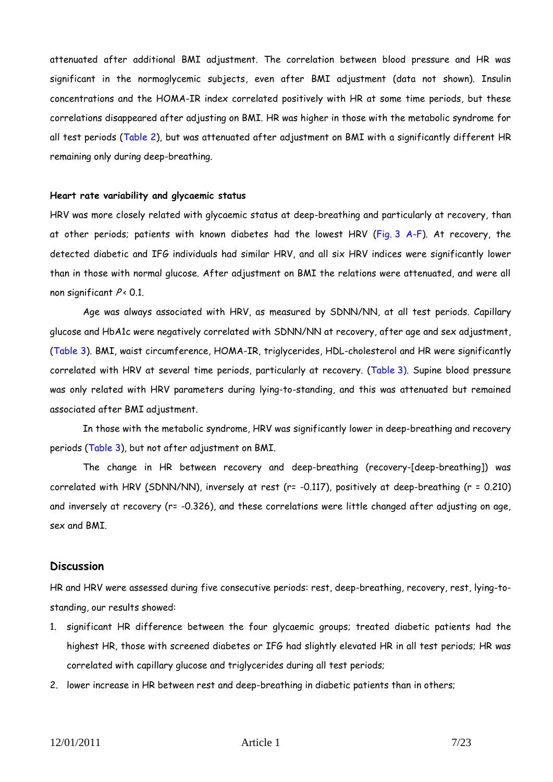attenuated after additional BMI adjustment. The correlation between blood pressure and HR was significant in the normoglycemic subjects, even after BMI adjustment (data not shown). Insulin concentrations and the HOMA-IR index correlated positively with HR at some time periods, but these correlations disappeared after adjusting on BMI. HR was higher in those with the metabolic syndrome for all test periods (Table 2), but was attenuated after adjustment on BMI with a significantly different HR remaining only during deep-breathing.

#### **Heart rate variability and glycaemic status**

HRV was more closely related with glycaemic status at deep-breathing and particularly at recovery, than at other periods; patients with known diabetes had the lowest HRV (Fig. 3 A-F). At recovery, the detected diabetic and IFG individuals had similar HRV, and all six HRV indices were significantly lower than in those with normal glucose. After adjustment on BMI the relations were attenuated, and were all non significant  $P < 0.1$ .

Age was always associated with HRV, as measured by SDNN/NN, at all test periods. Capillary glucose and HbA1c were negatively correlated with SDNN/NN at recovery, after age and sex adjustment, (Table 3). BMI, waist circumference, HOMA-IR, triglycerides, HDL-cholesterol and HR were significantly correlated with HRV at several time periods, particularly at recovery. (Table 3). Supine blood pressure was only related with HRV parameters during lying-to-standing, and this was attenuated but remained associated after BMI adjustment.

In those with the metabolic syndrome, HRV was significantly lower in deep-breathing and recovery periods (Table 3), but not after adjustment on BMI.

The change in HR between recovery and deep-breathing (recovery-[deep-breathing]) was correlated with HRV (SDNN/NN), inversely at rest (r= -0.117), positively at deep-breathing (r = 0.210) and inversely at recovery (r= -0.326), and these correlations were little changed after adjusting on age, sex and BMI.

## **Discussion**

HR and HRV were assessed during five consecutive periods: rest, deep-breathing, recovery, rest, lying-tostanding, our results showed:

- 1. significant HR difference between the four glycaemic groups; treated diabetic patients had the highest HR, those with screened diabetes or IFG had slightly elevated HR in all test periods; HR was correlated with capillary glucose and triglycerides during all test periods;
- 2. lower increase in HR between rest and deep-breathing in diabetic patients than in others;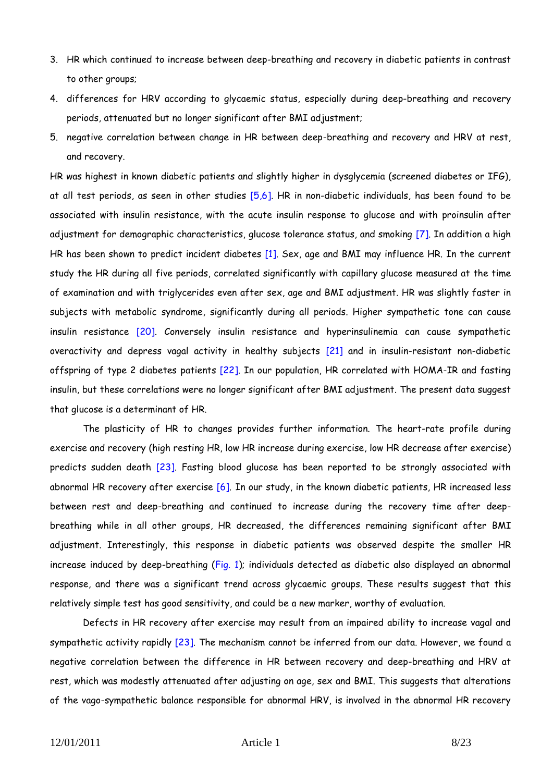- 3. HR which continued to increase between deep-breathing and recovery in diabetic patients in contrast to other groups;
- 4. differences for HRV according to glycaemic status, especially during deep-breathing and recovery periods, attenuated but no longer significant after BMI adjustment;
- 5. negative correlation between change in HR between deep-breathing and recovery and HRV at rest, and recovery.

HR was highest in known diabetic patients and slightly higher in dysglycemia (screened diabetes or IFG), at all test periods, as seen in other studies [5,6]. HR in non-diabetic individuals, has been found to be associated with insulin resistance, with the acute insulin response to glucose and with proinsulin after adjustment for demographic characteristics, glucose tolerance status, and smoking [7]. In addition a high HR has been shown to predict incident diabetes [1]. Sex, age and BMI may influence HR. In the current study the HR during all five periods, correlated significantly with capillary glucose measured at the time of examination and with triglycerides even after sex, age and BMI adjustment. HR was slightly faster in subjects with metabolic syndrome, significantly during all periods. Higher sympathetic tone can cause insulin resistance [20]. Conversely insulin resistance and hyperinsulinemia can cause sympathetic overactivity and depress vagal activity in healthy subjects [21] and in insulin-resistant non-diabetic offspring of type 2 diabetes patients [22]. In our population, HR correlated with HOMA-IR and fasting insulin, but these correlations were no longer significant after BMI adjustment. The present data suggest that glucose is a determinant of HR.

The plasticity of HR to changes provides further information. The heart-rate profile during exercise and recovery (high resting HR, low HR increase during exercise, low HR decrease after exercise) predicts sudden death [23]. Fasting blood glucose has been reported to be strongly associated with abnormal HR recovery after exercise [6]. In our study, in the known diabetic patients, HR increased less between rest and deep-breathing and continued to increase during the recovery time after deepbreathing while in all other groups, HR decreased, the differences remaining significant after BMI adjustment. Interestingly, this response in diabetic patients was observed despite the smaller HR increase induced by deep-breathing (Fig. 1); individuals detected as diabetic also displayed an abnormal response, and there was a significant trend across glycaemic groups. These results suggest that this relatively simple test has good sensitivity, and could be a new marker, worthy of evaluation.

Defects in HR recovery after exercise may result from an impaired ability to increase vagal and sympathetic activity rapidly [23]. The mechanism cannot be inferred from our data. However, we found a negative correlation between the difference in HR between recovery and deep-breathing and HRV at rest, which was modestly attenuated after adjusting on age, sex and BMI. This suggests that alterations of the vago-sympathetic balance responsible for abnormal HRV, is involved in the abnormal HR recovery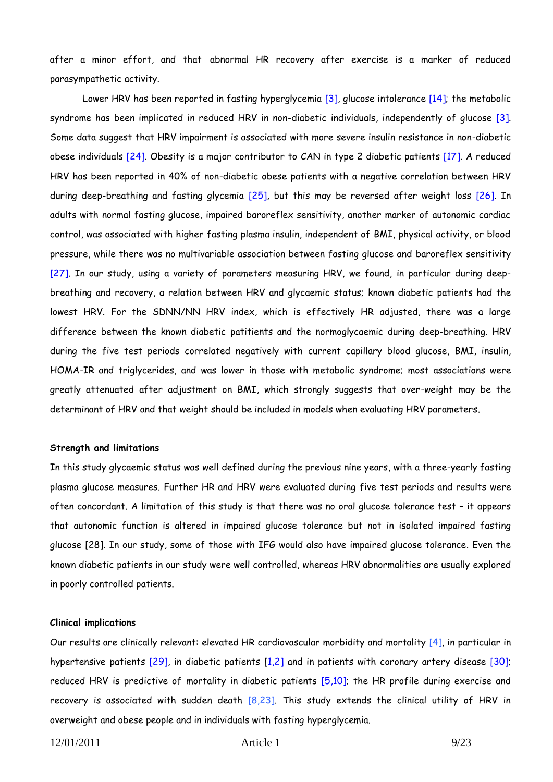after a minor effort, and that abnormal HR recovery after exercise is a marker of reduced parasympathetic activity.

Lower HRV has been reported in fasting hyperglycemia [3], glucose intolerance [14]; the metabolic syndrome has been implicated in reduced HRV in non-diabetic individuals, independently of glucose [3]. Some data suggest that HRV impairment is associated with more severe insulin resistance in non-diabetic obese individuals [24]. Obesity is a major contributor to CAN in type 2 diabetic patients [17]. A reduced HRV has been reported in 40% of non-diabetic obese patients with a negative correlation between HRV during deep-breathing and fasting glycemia [25], but this may be reversed after weight loss [26]. In adults with normal fasting glucose, impaired baroreflex sensitivity, another marker of autonomic cardiac control, was associated with higher fasting plasma insulin, independent of BMI, physical activity, or blood pressure, while there was no multivariable association between fasting glucose and baroreflex sensitivity [27]. In our study, using a variety of parameters measuring HRV, we found, in particular during deepbreathing and recovery, a relation between HRV and glycaemic status; known diabetic patients had the lowest HRV. For the SDNN/NN HRV index, which is effectively HR adjusted, there was a large difference between the known diabetic patitients and the normoglycaemic during deep-breathing. HRV during the five test periods correlated negatively with current capillary blood glucose, BMI, insulin, HOMA-IR and triglycerides, and was lower in those with metabolic syndrome; most associations were greatly attenuated after adjustment on BMI, which strongly suggests that over-weight may be the determinant of HRV and that weight should be included in models when evaluating HRV parameters.

#### **Strength and limitations**

In this study glycaemic status was well defined during the previous nine years, with a three-yearly fasting plasma glucose measures. Further HR and HRV were evaluated during five test periods and results were often concordant. A limitation of this study is that there was no oral glucose tolerance test – it appears that autonomic function is altered in impaired glucose tolerance but not in isolated impaired fasting glucose [28]. In our study, some of those with IFG would also have impaired glucose tolerance. Even the known diabetic patients in our study were well controlled, whereas HRV abnormalities are usually explored in poorly controlled patients.

#### **Clinical implications**

Our results are clinically relevant: elevated HR cardiovascular morbidity and mortality [4], in particular in hypertensive patients [29], in diabetic patients [1,2] and in patients with coronary artery disease [30]; reduced HRV is predictive of mortality in diabetic patients [5,10]; the HR profile during exercise and recovery is associated with sudden death [8,23]. This study extends the clinical utility of HRV in overweight and obese people and in individuals with fasting hyperglycemia.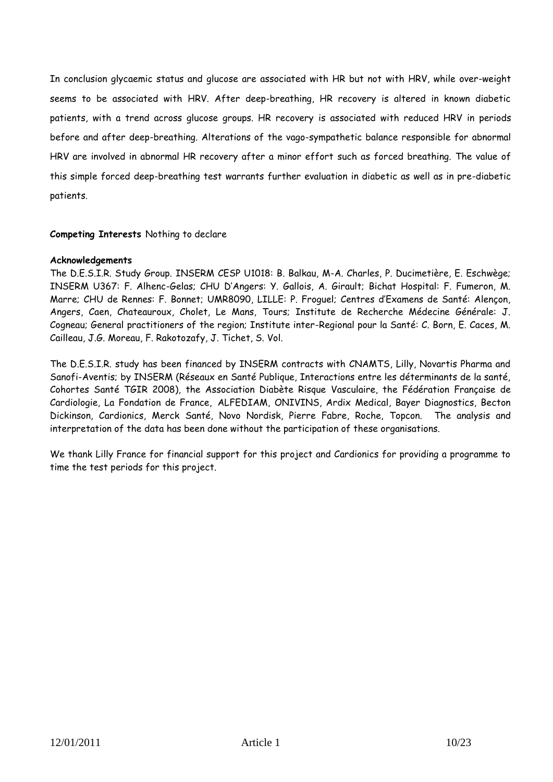In conclusion glycaemic status and glucose are associated with HR but not with HRV, while over-weight seems to be associated with HRV. After deep-breathing, HR recovery is altered in known diabetic patients, with a trend across glucose groups. HR recovery is associated with reduced HRV in periods before and after deep-breathing. Alterations of the vago-sympathetic balance responsible for abnormal HRV are involved in abnormal HR recovery after a minor effort such as forced breathing. The value of this simple forced deep-breathing test warrants further evaluation in diabetic as well as in pre-diabetic patients.

## **Competing Interests** Nothing to declare

## **Acknowledgements**

The D.E.S.I.R. Study Group. INSERM CESP U1018: B. Balkau, M-A. Charles, P. Ducimetière, E. Eschwège; INSERM U367: F. Alhenc-Gelas; CHU D'Angers: Y. Gallois, A. Girault; Bichat Hospital: F. Fumeron, M. Marre; CHU de Rennes: F. Bonnet; UMR8090, LILLE: P. Froguel; Centres d'Examens de Santé: Alençon, Angers, Caen, Chateauroux, Cholet, Le Mans, Tours; Institute de Recherche Médecine Générale: J. Cogneau; General practitioners of the region; Institute inter-Regional pour la Santé: C. Born, E. Caces, M. Cailleau, J.G. Moreau, F. Rakotozafy, J. Tichet, S. Vol.

The D.E.S.I.R. study has been financed by INSERM contracts with CNAMTS, Lilly, Novartis Pharma and Sanofi-Aventis; by INSERM (Réseaux en Santé Publique, Interactions entre les déterminants de la santé, Cohortes Santé TGIR 2008), the Association Diabète Risque Vasculaire, the Fédération Française de Cardiologie, La Fondation de France, ALFEDIAM, ONIVINS, Ardix Medical, Bayer Diagnostics, Becton Dickinson, Cardionics, Merck Santé, Novo Nordisk, Pierre Fabre, Roche, Topcon. The analysis and interpretation of the data has been done without the participation of these organisations.

We thank Lilly France for financial support for this project and Cardionics for providing a programme to time the test periods for this project.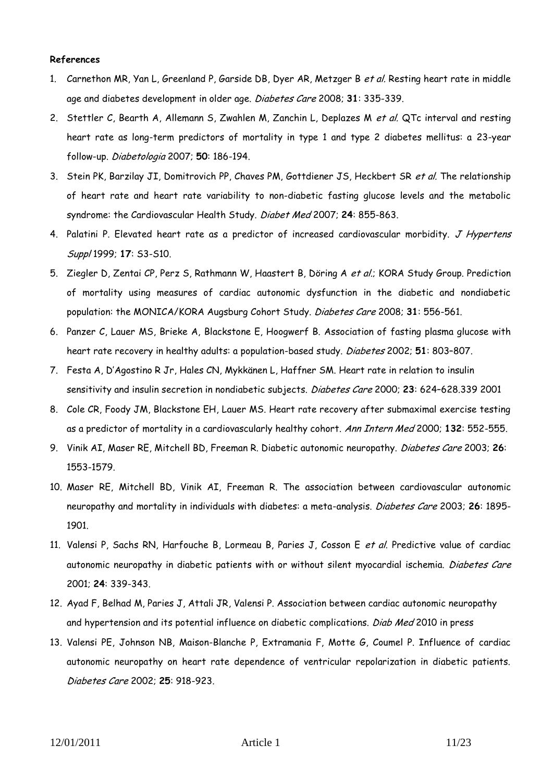## **References**

- 1. Carnethon MR, Yan L, Greenland P, Garside DB, Dyer AR, Metzger B et al. Resting heart rate in middle age and diabetes development in older age. Diabetes Care 2008; **31**: 335-339.
- 2. Stettler C, Bearth A, Allemann S, Zwahlen M, Zanchin L, Deplazes M et al. QTc interval and resting heart rate as long-term predictors of mortality in type 1 and type 2 diabetes mellitus: a 23-year follow-up. Diabetologia 2007; **50**: 186-194.
- 3. Stein PK, Barzilay JI, Domitrovich PP, Chaves PM, Gottdiener JS, Heckbert SR et al. The relationship of heart rate and heart rate variability to non-diabetic fasting glucose levels and the metabolic syndrome: the Cardiovascular Health Study. Diabet Med 2007; **24**: 855-863.
- 4. Palatini P. Elevated heart rate as a predictor of increased cardiovascular morbidity. J Hypertens Suppl 1999; **17**: S3-S10.
- 5. Ziegler D, Zentai CP, Perz S, Rathmann W, Haastert B, Döring A et al.; KORA Study Group. Prediction of mortality using measures of cardiac autonomic dysfunction in the diabetic and nondiabetic population: the MONICA/KORA Augsburg Cohort Study. Diabetes Care 2008; **31**: 556-561.
- 6. Panzer C, Lauer MS, Brieke A, Blackstone E, Hoogwerf B. Association of fasting plasma glucose with heart rate recovery in healthy adults: a population-based study. Diabetes 2002; **51**: 803–807.
- 7. Festa A, D'Agostino R Jr, Hales CN, [Mykkänen L,](http://www.ncbi.nlm.nih.gov.gate2.inist.fr/pubmed?term=%22Mykk%C3%A4nen%20L%22%5BAuthor%5D) [Haffner SM.](http://www.ncbi.nlm.nih.gov.gate2.inist.fr/pubmed?term=%22Haffner%20SM%22%5BAuthor%5D) Heart rate in relation to insulin sensitivity and insulin secretion in nondiabetic subjects. Diabetes Care 2000; **23**: 624–628.339 2001
- 8. Cole CR, Foody JM, Blackstone EH, Lauer MS. Heart rate recovery after submaximal exercise testing as a predictor of mortality in a cardiovascularly healthy cohort. Ann Intern Med 2000; **132**: 552-555.
- 9. Vinik AI, Maser RE, Mitchell BD, Freeman R. Diabetic autonomic neuropathy. Diabetes Care 2003; **26**: 1553-1579.
- 10. Maser RE, Mitchell BD, Vinik AI, Freeman R. The association between cardiovascular autonomic neuropathy and mortality in individuals with diabetes: a meta-analysis. Diabetes Care 2003; **26**: 1895- 1901.
- 11. Valensi P, Sachs RN, Harfouche B, Lormeau B, Paries J, Cosson E et al. Predictive value of cardiac autonomic neuropathy in diabetic patients with or without silent myocardial ischemia. Diabetes Care 2001; **24**: 339-343.
- 12. Ayad F, Belhad M, Paries J, Attali JR, Valensi P. Association between cardiac autonomic neuropathy and hypertension and its potential influence on diabetic complications. Diab Med 2010 in press
- 13. Valensi PE, Johnson NB, Maison-Blanche P, Extramania F, Motte G, Coumel P. Influence of cardiac autonomic neuropathy on heart rate dependence of ventricular repolarization in diabetic patients. Diabetes Care 2002; **25**: 918-923.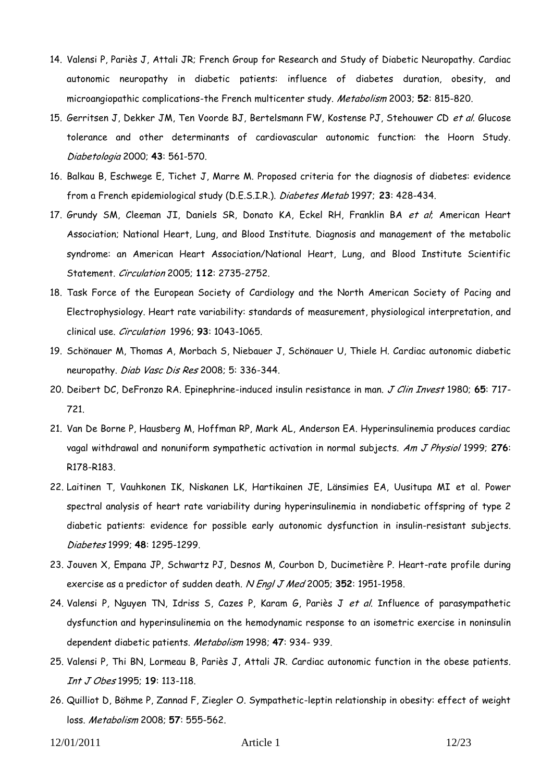- 14. Valensi P, Pariès J, Attali JR; French Group for Research and Study of Diabetic Neuropathy. Cardiac autonomic neuropathy in diabetic patients: influence of diabetes duration, obesity, and microangiopathic complications-the French multicenter study. Metabolism 2003; **52**: 815-820.
- 15. Gerritsen J, Dekker JM, Ten Voorde BJ, Bertelsmann FW, Kostense PJ, Stehouwer CD et al. Glucose tolerance and other determinants of cardiovascular autonomic function: the Hoorn Study. Diabetologia 2000; **43**: 561-570.
- 16. Balkau B, Eschwege E, Tichet J, Marre M. Proposed criteria for the diagnosis of diabetes: evidence from a French epidemiological study (D.E.S.I.R.). Diabetes Metab 1997; **23**: 428-434.
- 17. Grundy SM, Cleeman JI, Daniels SR, Donato KA, Eckel RH, Franklin BA et al; American Heart Association; National Heart, Lung, and Blood Institute. [Diagnosis and management of](http://www.ncbi.nlm.nih.gov.gate2.inist.fr/pubmed/16157765?ordinalpos=1&itool=EntrezSystem2.PEntrez.Pubmed.Pubmed_ResultsPanel.Pubmed_DefaultReportPanel.Pubmed_RVDocSum) the metabolic [syndrome: an American Heart Association/National Heart, Lung, and Blood Institute Scientific](http://www.ncbi.nlm.nih.gov.gate2.inist.fr/pubmed/16157765?ordinalpos=1&itool=EntrezSystem2.PEntrez.Pubmed.Pubmed_ResultsPanel.Pubmed_DefaultReportPanel.Pubmed_RVDocSum)  [Statement.](http://www.ncbi.nlm.nih.gov.gate2.inist.fr/pubmed/16157765?ordinalpos=1&itool=EntrezSystem2.PEntrez.Pubmed.Pubmed_ResultsPanel.Pubmed_DefaultReportPanel.Pubmed_RVDocSum) Circulation 2005; **112**: 2735-2752.
- 18. Task Force of the European Society of Cardiology and the North American Society of Pacing and Electrophysiology. Heart rate variability: standards of measurement, physiological interpretation, and clinical use. Circulation 1996; **93**: 1043-1065.
- 19. Schönauer M, Thomas A, Morbach S, Niebauer J, Schönauer U, Thiele H. Cardiac autonomic diabetic neuropathy. Diab Vasc Dis Res 2008; 5: 336-344.
- 20. Deibert DC, DeFronzo RA. Epinephrine-induced insulin resistance in man. J Clin Invest 1980; **65**: 717- 721.
- 21. Van De Borne P, Hausberg M, Hoffman RP, Mark AL, Anderson EA. Hyperinsulinemia produces cardiac vagal withdrawal and nonuniform sympathetic activation in normal subjects. Am J Physiol 1999; **276**: R178-R183.
- 22. Laitinen T, Vauhkonen IK, Niskanen LK, Hartikainen JE, Länsimies EA, Uusitupa MI et al. Power spectral analysis of heart rate variability during hyperinsulinemia in nondiabetic offspring of type 2 diabetic patients: evidence for possible early autonomic dysfunction in insulin-resistant subjects. Diabetes 1999; **48**: 1295-1299.
- 23. Jouven X, Empana JP, Schwartz PJ, Desnos M, Courbon D, Ducimetière P. Heart-rate profile during exercise as a predictor of sudden death. N Engl J Med 2005; **352**: 1951-1958.
- 24. Valensi P, Nguyen TN, Idriss S, Cazes P, Karam G, Pariès J et al. Influence of parasympathetic dysfunction and hyperinsulinemia on the hemodynamic response to an isometric exercise in noninsulin dependent diabetic patients. Metabolism 1998; **47**: 934- 939.
- 25. Valensi P, Thi BN, Lormeau B, Pariès J, Attali JR. Cardiac autonomic function in the obese patients. Int J Obes 1995; **19**: 113-118.
- 26. Quilliot D, Böhme P, Zannad F, Ziegler O. Sympathetic-leptin relationship in obesity: effect of weight loss. Metabolism 2008; **57**: 555-562.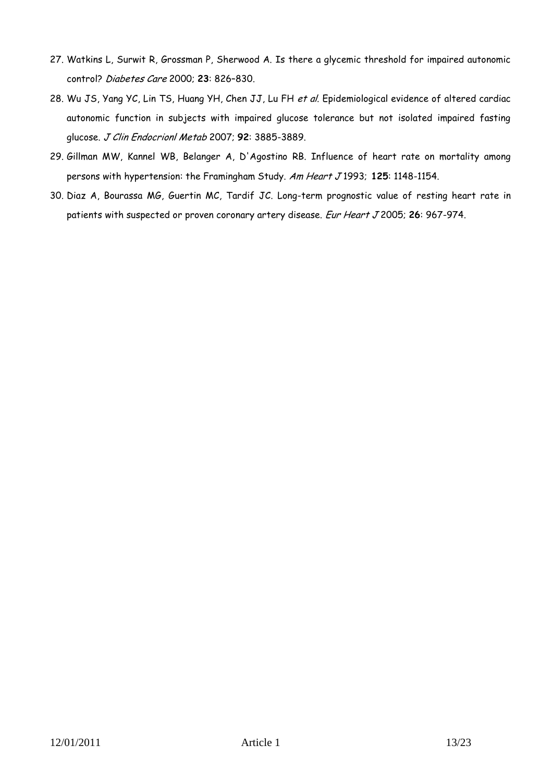- 27. Watkins L, Surwit R, Grossman P, Sherwood A. Is there a glycemic threshold for impaired autonomic control? Diabetes Care 2000; **23**: 826–830.
- 28. [Wu JS,](http://www.ncbi.nlm.nih.gov/sites/entrez?Db=pubmed&Cmd=Search&Term=%22Wu%20JS%22%5BAuthor%5D&itool=EntrezSystem2.PEntrez.Pubmed.Pubmed_ResultsPanel.Pubmed_DiscoveryPanel.Pubmed_RVAbstractPlus) [Yang YC,](http://www.ncbi.nlm.nih.gov/sites/entrez?Db=pubmed&Cmd=Search&Term=%22Yang%20YC%22%5BAuthor%5D&itool=EntrezSystem2.PEntrez.Pubmed.Pubmed_ResultsPanel.Pubmed_DiscoveryPanel.Pubmed_RVAbstractPlus) [Lin TS,](http://www.ncbi.nlm.nih.gov/sites/entrez?Db=pubmed&Cmd=Search&Term=%22Lin%20TS%22%5BAuthor%5D&itool=EntrezSystem2.PEntrez.Pubmed.Pubmed_ResultsPanel.Pubmed_DiscoveryPanel.Pubmed_RVAbstractPlus) [Huang YH,](http://www.ncbi.nlm.nih.gov/sites/entrez?Db=pubmed&Cmd=Search&Term=%22Huang%20YH%22%5BAuthor%5D&itool=EntrezSystem2.PEntrez.Pubmed.Pubmed_ResultsPanel.Pubmed_DiscoveryPanel.Pubmed_RVAbstractPlus) [Chen JJ,](http://www.ncbi.nlm.nih.gov/sites/entrez?Db=pubmed&Cmd=Search&Term=%22Chen%20JJ%22%5BAuthor%5D&itool=EntrezSystem2.PEntrez.Pubmed.Pubmed_ResultsPanel.Pubmed_DiscoveryPanel.Pubmed_RVAbstractPlus) [Lu FH](http://www.ncbi.nlm.nih.gov/sites/entrez?Db=pubmed&Cmd=Search&Term=%22Lu%20FH%22%5BAuthor%5D&itool=EntrezSystem2.PEntrez.Pubmed.Pubmed_ResultsPanel.Pubmed_DiscoveryPanel.Pubmed_RVAbstractPlus) et al. Epidemiological evidence of altered cardiac autonomic function in subjects with impaired glucose tolerance but not isolated impaired fasting glucose. J Clin Endocrionl Metab 2007; **92**: 3885-3889.
- 29. Gillman MW, Kannel WB, Belanger A, D'Agostino RB. Influence of heart rate on mortality among persons with hypertension: the Framingham Study. Am Heart J 1993; **125**: 1148-1154.
- 30. Diaz A, Bourassa MG, Guertin MC, Tardif JC. Long-term prognostic value of resting heart rate in patients with suspected or proven coronary artery disease. Eur Heart J 2005; **26**: 967-974.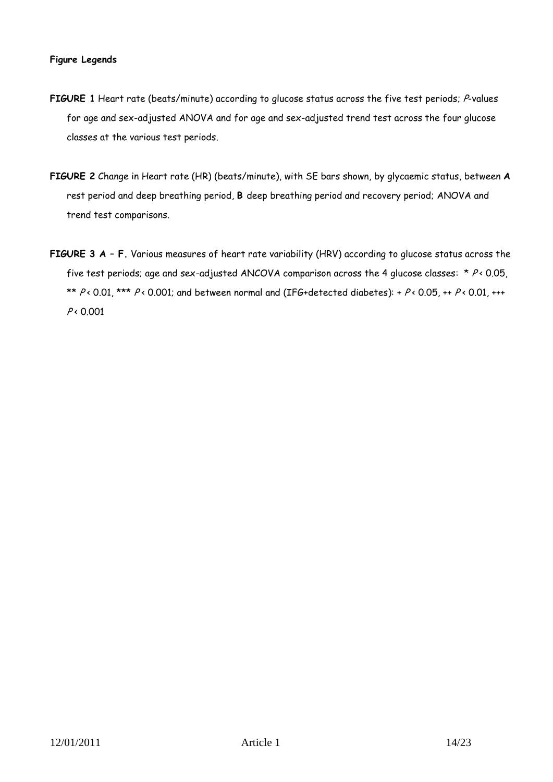## **Figure Legends**

- FIGURE 1 Heart rate (beats/minute) according to glucose status across the five test periods; P-values for age and sex-adjusted ANOVA and for age and sex-adjusted trend test across the four glucose classes at the various test periods.
- **FIGURE 2** Change in Heart rate (HR) (beats/minute), with SE bars shown, by glycaemic status, between **A**  rest period and deep breathing period, **B** deep breathing period and recovery period; ANOVA and trend test comparisons.
- **FIGURE 3 A – F.** Various measures of heart rate variability (HRV) according to glucose status across the five test periods; age and sex-adjusted ANCOVA comparison across the 4 glucose classes: \*  $P \triangleleft 0.05$ , \*\*  $P$  < 0.01, \*\*\*  $P$  < 0.001; and between normal and (IFG+detected diabetes): +  $P$  < 0.05, ++  $P$  < 0.01, +++  $P \times 0.001$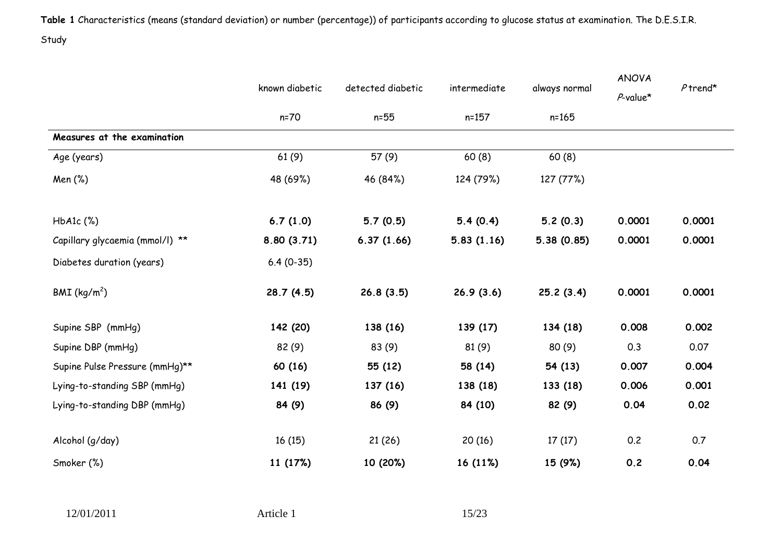**Table 1** Characteristics (means (standard deviation) or number (percentage)) of participants according to glucose status at examination. The D.E.S.I.R. Study

|                                 | known diabetic | detected diabetic | intermediate | always normal | <b>ANOVA</b> |            |
|---------------------------------|----------------|-------------------|--------------|---------------|--------------|------------|
|                                 |                |                   |              |               | $P$ -value*  | $P$ trend* |
|                                 | $n=70$         | $n=55$            | $n = 157$    | $n = 165$     |              |            |
| Measures at the examination     |                |                   |              |               |              |            |
| Age (years)                     | 61(9)          | 57 (9)            | 60(8)        | 60(8)         |              |            |
| Men (%)                         | 48 (69%)       | 46 (84%)          | 124 (79%)    | 127 (77%)     |              |            |
| $HbA1c$ $(\%)$                  | 6.7(1.0)       | 5.7(0.5)          | 5.4(0.4)     | 5.2(0.3)      | 0.0001       | 0.0001     |
| Capillary glycaemia (mmol/l) ** | 8.80(3.71)     | 6.37(1.66)        | 5.83(1.16)   | 5.38(0.85)    | 0.0001       | 0.0001     |
| Diabetes duration (years)       | $6.4(0-35)$    |                   |              |               |              |            |
| BMI (kg/m <sup>2</sup> )        | 28.7(4.5)      | 26.8(3.5)         | 26.9(3.6)    | 25.2(3.4)     | 0.0001       | 0.0001     |
| Supine SBP (mmHg)               | 142 (20)       | 138 (16)          | 139 (17)     | 134 (18)      | 0.008        | 0.002      |
| Supine DBP (mmHg)               | 82(9)          | 83 (9)            | 81(9)        | 80(9)         | 0.3          | 0.07       |
| Supine Pulse Pressure (mmHg)**  | 60 (16)        | 55 (12)           | 58 (14)      | 54 (13)       | 0.007        | 0.004      |
| Lying-to-standing SBP (mmHg)    | 141 (19)       | 137 (16)          | 138 (18)     | 133 (18)      | 0.006        | 0.001      |
| Lying-to-standing DBP (mmHg)    | 84 (9)         | 86 (9)            | 84 (10)      | 82 (9)        | 0.04         | 0.02       |
| Alcohol (g/day)                 | 16(15)         | 21(26)            | 20(16)       | 17(17)        | 0.2          | 0.7        |
| Smoker (%)                      | 11 (17%)       | 10 (20%)          | 16 (11%)     | 15 (9%)       | 0.2          | 0.04       |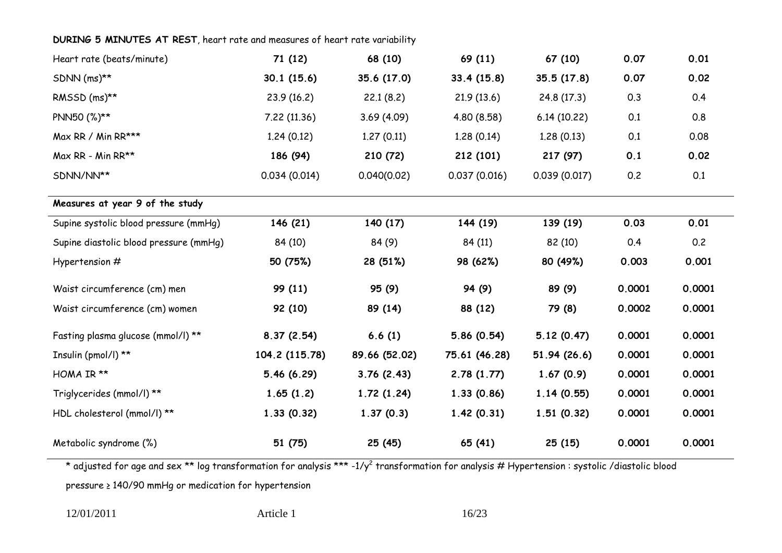## **DURING 5 MINUTES AT REST**, heart rate and measures of heart rate variability

| Heart rate (beats/minute)              | 71 (12)        | 68 (10)       | 69 (11)       | 67 (10)      | 0.07   | 0.01   |
|----------------------------------------|----------------|---------------|---------------|--------------|--------|--------|
| SDNN (ms)**                            | 30.1(15.6)     | 35.6 (17.0)   | 33.4(15.8)    | 35.5 (17.8)  | 0.07   | 0.02   |
| RMSSD (ms)**                           | 23.9(16.2)     | 22.1(8.2)     | 21.9(13.6)    | 24.8 (17.3)  | 0.3    | 0.4    |
| PNN50 (%)**                            | 7.22 (11.36)   | 3.69(4.09)    | 4.80 (8.58)   | 6.14(10.22)  | 0.1    | 0.8    |
| Max RR / Min RR***                     | 1.24(0.12)     | 1.27(0.11)    | 1.28(0.14)    | 1.28(0.13)   | 0.1    | 0.08   |
| Max RR - Min RR**                      | 186 (94)       | 210 (72)      | 212 (101)     | 217(97)      | 0.1    | 0.02   |
| SDNN/NN**                              | 0.034(0.014)   | 0.040(0.02)   | 0.037(0.016)  | 0.039(0.017) | 0.2    | 0.1    |
| Measures at year 9 of the study        |                |               |               |              |        |        |
| Supine systolic blood pressure (mmHq)  | 146 (21)       | 140 (17)      | 144 (19)      | 139 (19)     | 0.03   | 0.01   |
| Supine diastolic blood pressure (mmHq) | 84 (10)        | 84 (9)        | 84 (11)       | 82 (10)      | 0.4    | 0.2    |
| Hypertension #                         | 50 (75%)       | 28 (51%)      | 98 (62%)      | 80 (49%)     | 0.003  | 0.001  |
| Waist circumference (cm) men           | 99 (11)        | 95 (9)        | 94 (9)        | 89 (9)       | 0.0001 | 0.0001 |
| Waist circumference (cm) women         | 92 (10)        | 89 (14)       | 88 (12)       | 79 (8)       | 0.0002 | 0.0001 |
| Fasting plasma glucose (mmol/l) **     | 8.37(2.54)     | 6.6(1)        | 5.86(0.54)    | 5.12(0.47)   | 0.0001 | 0.0001 |
| Insulin (pmol/l) **                    | 104.2 (115.78) | 89.66 (52.02) | 75.61 (46.28) | 51.94 (26.6) | 0.0001 | 0.0001 |
| HOMA IR **                             | 5.46(6.29)     | 3.76(2.43)    | 2.78(1.77)    | 1.67(0.9)    | 0.0001 | 0.0001 |
| Triglycerides (mmol/l) **              | 1.65(1.2)      | 1.72(1.24)    | 1.33(0.86)    | 1.14(0.55)   | 0.0001 | 0.0001 |
| HDL cholesterol (mmol/l) **            | 1.33(0.32)     | 1.37(0.3)     | 1.42(0.31)    | 1.51(0.32)   | 0.0001 | 0.0001 |
| Metabolic syndrome (%)                 | 51 (75)        | 25 (45)       | 65 (41)       | 25(15)       | 0.0001 | 0.0001 |

\* adjusted for age and sex \*\* log transformation for analysis \*\*\* -1/y<sup>2</sup> transformation for analysis # Hypertension : systolic /diastolic blood

pressure ≥ 140/90 mmHg or medication for hypertension

12/01/2011 **Article 1** 16/23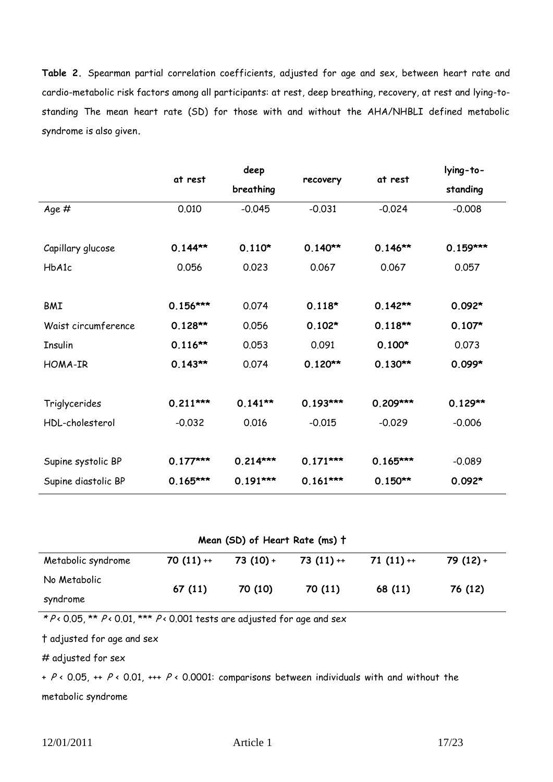**Table 2.** Spearman partial correlation coefficients, adjusted for age and sex, between heart rate and cardio-metabolic risk factors among all participants: at rest, deep breathing, recovery, at rest and lying-tostanding The mean heart rate (SD) for those with and without the AHA/NHBLI defined metabolic syndrome is also given**.** 

|                     | at rest    | deep       |            | at rest    | lying-to-  |  |
|---------------------|------------|------------|------------|------------|------------|--|
|                     |            | breathing  | recovery   |            | standing   |  |
| Age #               | 0.010      | $-0.045$   | $-0.031$   | $-0.024$   | $-0.008$   |  |
|                     |            |            |            |            |            |  |
| Capillary glucose   | $0.144**$  | $0.110*$   | $0.140**$  | $0.146**$  | $0.159***$ |  |
| HbA1c               | 0.056      | 0.023      | 0.067      | 0.067      | 0.057      |  |
|                     |            |            |            |            |            |  |
| <b>BMI</b>          | $0.156***$ | 0.074      | $0.118*$   | $0.142**$  | $0.092*$   |  |
| Waist circumference | $0.128**$  | 0.056      | $0.102*$   | $0.118**$  | $0.107*$   |  |
| Insulin             | $0.116**$  | 0.053      | 0.091      | $0.100*$   | 0.073      |  |
| <b>HOMA-IR</b>      | $0.143**$  | 0.074      | $0.120**$  | $0.130**$  | $0.099*$   |  |
|                     |            |            |            |            |            |  |
| Triglycerides       | $0.211***$ | $0.141**$  | $0.193***$ | $0.209***$ | $0.129**$  |  |
| HDL-cholesterol     | $-0.032$   | 0.016      | $-0.015$   | $-0.029$   | $-0.006$   |  |
|                     |            |            |            |            |            |  |
| Supine systolic BP  | $0.177***$ | $0.214***$ | $0.171***$ | $0.165***$ | $-0.089$   |  |
| Supine diastolic BP | $0.165***$ | $0.191***$ | $0.161***$ | $0.150**$  | $0.092*$   |  |

## **Mean (SD) of Heart Rate (ms) †**

| Metabolic syndrome | $70(11) +$ | $73(10) +$ | $73(11) +$ | $71(11) +$ | $79(12) +$ |
|--------------------|------------|------------|------------|------------|------------|
| No Metabolic       | 67(11)     | 70 (10)    | 70 (11)    | 68 (11)    | 76 (12)    |
| syndrome           |            |            |            |            |            |

\*  $P \leftarrow 0.05$ , \*\*  $P \leftarrow 0.01$ , \*\*\*  $P \leftarrow 0.001$  tests are adjusted for age and sex

† adjusted for age and sex

# adjusted for sex

+ P < 0.05,  $\leftrightarrow$  P < 0.01,  $\leftrightarrow$  P < 0.0001: comparisons between individuals with and without the metabolic syndrome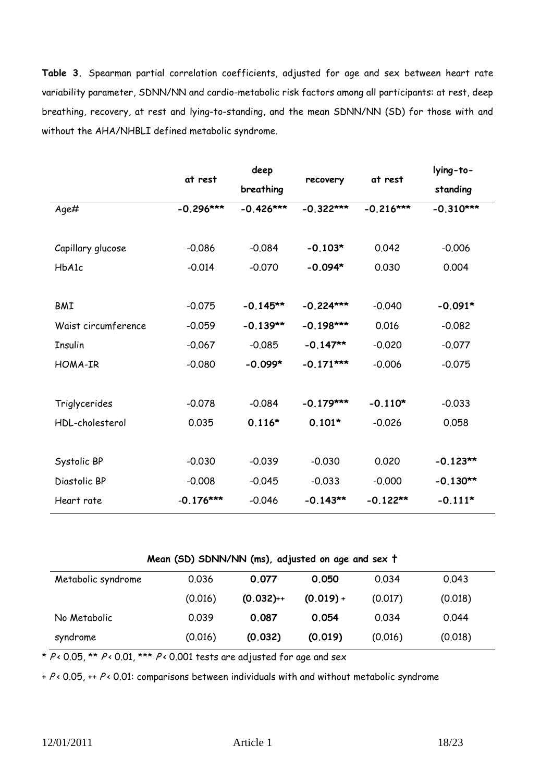**Table 3.** Spearman partial correlation coefficients, adjusted for age and sex between heart rate variability parameter, SDNN/NN and cardio-metabolic risk factors among all participants: at rest, deep breathing, recovery, at rest and lying-to-standing, and the mean SDNN/NN (SD) for those with and without the AHA/NHBLI defined metabolic syndrome.

|                     | at rest     | deep        | recovery    | at rest     | lying-to-   |  |
|---------------------|-------------|-------------|-------------|-------------|-------------|--|
|                     |             | breathing   |             |             | standing    |  |
| Age#                | $-0.296***$ | $-0.426***$ | $-0.322***$ | $-0.216***$ | $-0.310***$ |  |
|                     |             |             |             |             |             |  |
| Capillary glucose   | $-0.086$    | $-0.084$    | $-0.103*$   | 0.042       | $-0.006$    |  |
| HbA1c               | $-0.014$    | $-0.070$    | $-0.094*$   | 0.030       | 0.004       |  |
|                     |             |             |             |             |             |  |
| <b>BMI</b>          | $-0.075$    | $-0.145**$  | $-0.224***$ | $-0.040$    | $-0.091*$   |  |
| Waist circumference | $-0.059$    | $-0.139**$  | $-0.198***$ | 0.016       | $-0.082$    |  |
| <b>Insulin</b>      | $-0.067$    | $-0.085$    | $-0.147**$  | $-0.020$    | $-0.077$    |  |
| HOMA-IR             | $-0.080$    | $-0.099*$   | $-0.171***$ | $-0.006$    | $-0.075$    |  |
|                     |             |             |             |             |             |  |
| Triglycerides       | $-0.078$    | $-0.084$    | $-0.179***$ | $-0.110*$   | $-0.033$    |  |
| HDL-cholesterol     | 0.035       | $0.116*$    | $0.101*$    | $-0.026$    | 0.058       |  |
|                     |             |             |             |             |             |  |
| Systolic BP         | $-0.030$    | $-0.039$    | $-0.030$    | 0.020       | $-0.123**$  |  |
| Diastolic BP        | $-0.008$    | $-0.045$    | $-0.033$    | $-0.000$    | $-0.130**$  |  |
| Heart rate          | $-0.176***$ | $-0.046$    | $-0.143**$  | $-0.122**$  | $-0.111*$   |  |

| Mean (SD) SDNN/NN (ms), adjusted on age and sex t |  |  |  |  |  |
|---------------------------------------------------|--|--|--|--|--|
|---------------------------------------------------|--|--|--|--|--|

| Metabolic syndrome | 0.036   | 0.077       | 0.050       | 0.034   | 0.043   |
|--------------------|---------|-------------|-------------|---------|---------|
|                    | (0.016) | $(0.032)++$ | $(0.019) +$ | (0.017) | (0.018) |
| No Metabolic       | 0.039   | 0.087       | 0.054       | 0.034   | 0.044   |
| syndrome           | (0.016) | (0.032)     | (0.019)     | (0.016) | (0.018) |

\*  $P \leftarrow 0.05$ , \*\*  $P \leftarrow 0.01$ , \*\*\*  $P \leftarrow 0.001$  tests are adjusted for age and sex

 $+ P$  < 0.05,  $+$  P < 0.01: comparisons between individuals with and without metabolic syndrome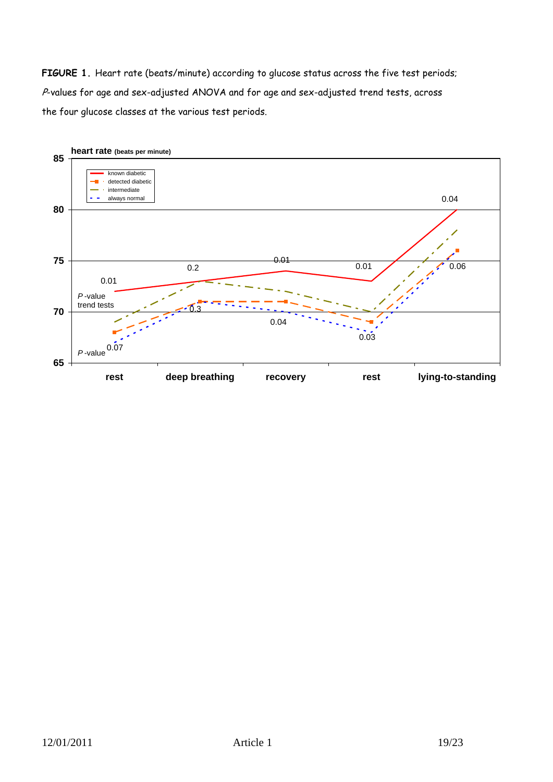FIGURE 1. Heart rate (beats/minute) according to glucose status across the five test periods; P-values for age and sex-adjusted ANOVA and for age and sex-adjusted trend tests, across the four glucose classes at the various test periods.

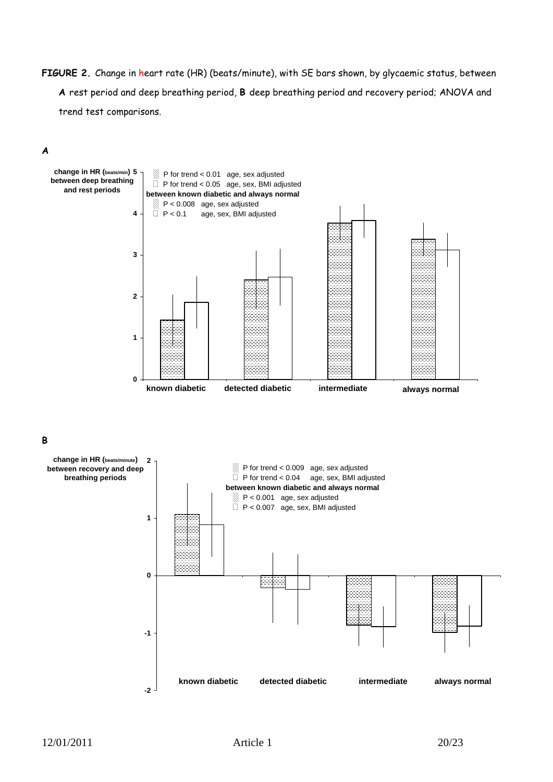**FIGURE 2.** Change in heart rate (HR) (beats/minute), with SE bars shown, by glycaemic status, between **A** rest period and deep breathing period, **B** deep breathing period and recovery period; ANOVA and trend test comparisons.

## **A**

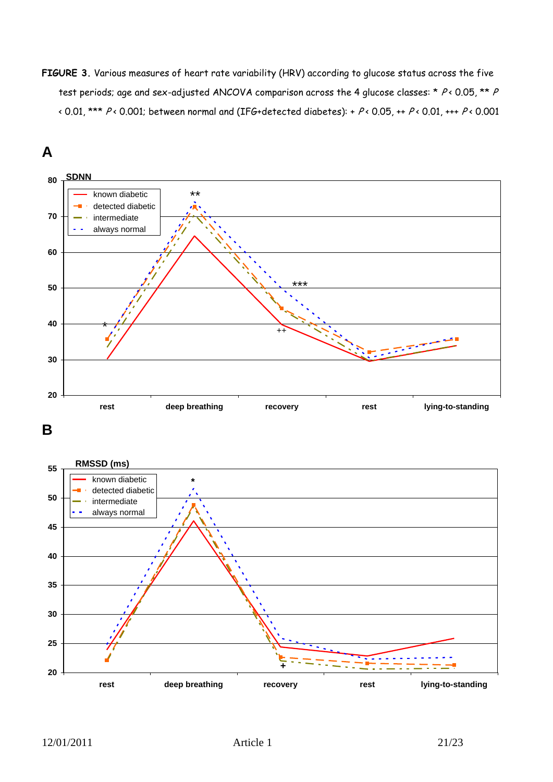**FIGURE 3.** Various measures of heart rate variability (HRV) according to glucose status across the five test periods; age and sex-adjusted ANCOVA comparison across the 4 glucose classes: \*  $P$ < 0.05, \*\*  $P$ < 0.01, \*\*\*  $P$ < 0.001; between normal and (IFG+detected diabetes): +  $P$ < 0.05, ++  $P$ < 0.01, +++  $P$ < 0.001



**B**

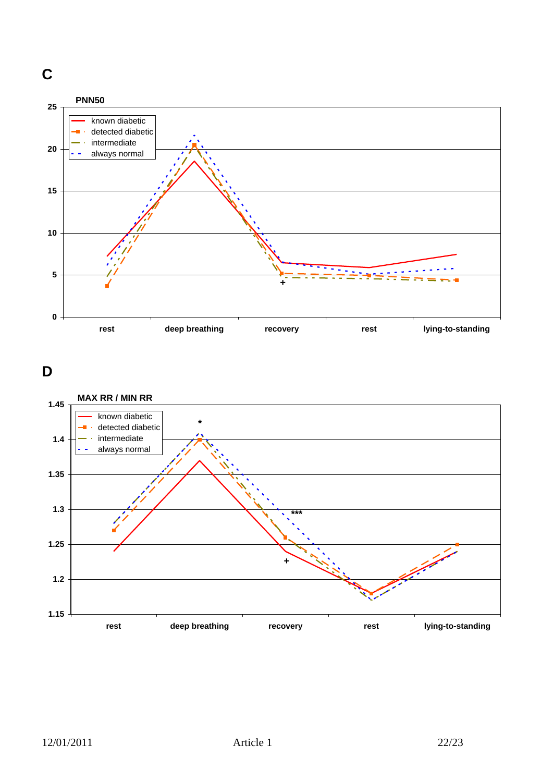

**D**